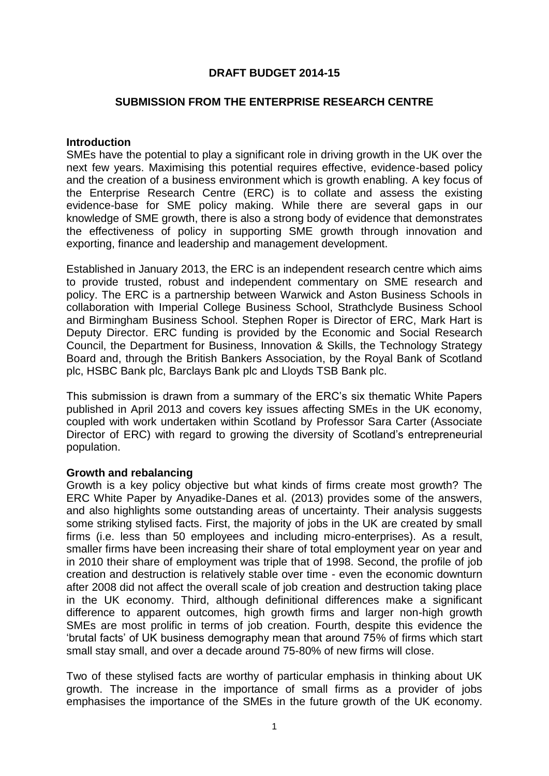# **DRAFT BUDGET 2014-15**

#### **SUBMISSION FROM THE ENTERPRISE RESEARCH CENTRE**

#### **Introduction**

SMEs have the potential to play a significant role in driving growth in the UK over the next few years. Maximising this potential requires effective, evidence-based policy and the creation of a business environment which is growth enabling. A key focus of the Enterprise Research Centre (ERC) is to collate and assess the existing evidence-base for SME policy making. While there are several gaps in our knowledge of SME growth, there is also a strong body of evidence that demonstrates the effectiveness of policy in supporting SME growth through innovation and exporting, finance and leadership and management development.

Established in January 2013, the ERC is an independent research centre which aims to provide trusted, robust and independent commentary on SME research and policy. The ERC is a partnership between Warwick and Aston Business Schools in collaboration with Imperial College Business School, Strathclyde Business School and Birmingham Business School. Stephen Roper is Director of ERC, Mark Hart is Deputy Director. ERC funding is provided by the Economic and Social Research Council, the Department for Business, Innovation & Skills, the Technology Strategy Board and, through the British Bankers Association, by the Royal Bank of Scotland plc, HSBC Bank plc, Barclays Bank plc and Lloyds TSB Bank plc.

This submission is drawn from a summary of the ERC's six thematic White Papers published in April 2013 and covers key issues affecting SMEs in the UK economy, coupled with work undertaken within Scotland by Professor Sara Carter (Associate Director of ERC) with regard to growing the diversity of Scotland's entrepreneurial population.

#### **Growth and rebalancing**

Growth is a key policy objective but what kinds of firms create most growth? The ERC White Paper by Anyadike-Danes et al. (2013) provides some of the answers, and also highlights some outstanding areas of uncertainty. Their analysis suggests some striking stylised facts. First, the majority of jobs in the UK are created by small firms (i.e. less than 50 employees and including micro-enterprises). As a result, smaller firms have been increasing their share of total employment year on year and in 2010 their share of employment was triple that of 1998. Second, the profile of job creation and destruction is relatively stable over time - even the economic downturn after 2008 did not affect the overall scale of job creation and destruction taking place in the UK economy. Third, although definitional differences make a significant difference to apparent outcomes, high growth firms and larger non-high growth SMEs are most prolific in terms of job creation. Fourth, despite this evidence the 'brutal facts' of UK business demography mean that around 75% of firms which start small stay small, and over a decade around 75-80% of new firms will close.

Two of these stylised facts are worthy of particular emphasis in thinking about UK growth. The increase in the importance of small firms as a provider of jobs emphasises the importance of the SMEs in the future growth of the UK economy.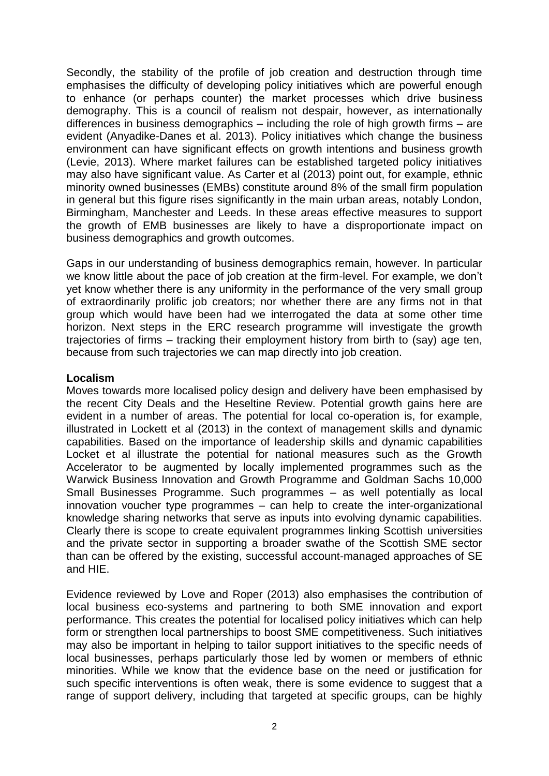Secondly, the stability of the profile of job creation and destruction through time emphasises the difficulty of developing policy initiatives which are powerful enough to enhance (or perhaps counter) the market processes which drive business demography. This is a council of realism not despair, however, as internationally differences in business demographics – including the role of high growth firms – are evident (Anyadike-Danes et al. 2013). Policy initiatives which change the business environment can have significant effects on growth intentions and business growth (Levie, 2013). Where market failures can be established targeted policy initiatives may also have significant value. As Carter et al (2013) point out, for example, ethnic minority owned businesses (EMBs) constitute around 8% of the small firm population in general but this figure rises significantly in the main urban areas, notably London, Birmingham, Manchester and Leeds. In these areas effective measures to support the growth of EMB businesses are likely to have a disproportionate impact on business demographics and growth outcomes.

Gaps in our understanding of business demographics remain, however. In particular we know little about the pace of job creation at the firm-level. For example, we don't yet know whether there is any uniformity in the performance of the very small group of extraordinarily prolific job creators; nor whether there are any firms not in that group which would have been had we interrogated the data at some other time horizon. Next steps in the ERC research programme will investigate the growth trajectories of firms – tracking their employment history from birth to (say) age ten, because from such trajectories we can map directly into job creation.

#### **Localism**

Moves towards more localised policy design and delivery have been emphasised by the recent City Deals and the Heseltine Review. Potential growth gains here are evident in a number of areas. The potential for local co-operation is, for example, illustrated in Lockett et al (2013) in the context of management skills and dynamic capabilities. Based on the importance of leadership skills and dynamic capabilities Locket et al illustrate the potential for national measures such as the Growth Accelerator to be augmented by locally implemented programmes such as the Warwick Business Innovation and Growth Programme and Goldman Sachs 10,000 Small Businesses Programme. Such programmes – as well potentially as local innovation voucher type programmes – can help to create the inter-organizational knowledge sharing networks that serve as inputs into evolving dynamic capabilities. Clearly there is scope to create equivalent programmes linking Scottish universities and the private sector in supporting a broader swathe of the Scottish SME sector than can be offered by the existing, successful account-managed approaches of SE and HIE.

Evidence reviewed by Love and Roper (2013) also emphasises the contribution of local business eco-systems and partnering to both SME innovation and export performance. This creates the potential for localised policy initiatives which can help form or strengthen local partnerships to boost SME competitiveness. Such initiatives may also be important in helping to tailor support initiatives to the specific needs of local businesses, perhaps particularly those led by women or members of ethnic minorities. While we know that the evidence base on the need or justification for such specific interventions is often weak, there is some evidence to suggest that a range of support delivery, including that targeted at specific groups, can be highly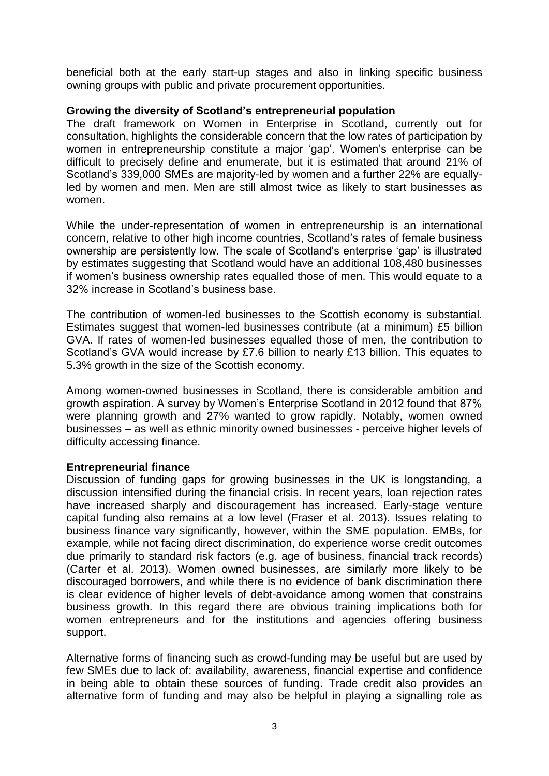beneficial both at the early start-up stages and also in linking specific business owning groups with public and private procurement opportunities.

# **Growing the diversity of Scotland's entrepreneurial population**

The draft framework on Women in Enterprise in Scotland, currently out for consultation, highlights the considerable concern that the low rates of participation by women in entrepreneurship constitute a major 'gap'. Women's enterprise can be difficult to precisely define and enumerate, but it is estimated that around 21% of Scotland's 339,000 SMEs are majority-led by women and a further 22% are equallyled by women and men. Men are still almost twice as likely to start businesses as women.

While the under-representation of women in entrepreneurship is an international concern, relative to other high income countries, Scotland's rates of female business ownership are persistently low. The scale of Scotland's enterprise 'gap' is illustrated by estimates suggesting that Scotland would have an additional 108,480 businesses if women's business ownership rates equalled those of men. This would equate to a 32% increase in Scotland's business base.

The contribution of women-led businesses to the Scottish economy is substantial. Estimates suggest that women-led businesses contribute (at a minimum) £5 billion GVA. If rates of women-led businesses equalled those of men, the contribution to Scotland's GVA would increase by £7.6 billion to nearly £13 billion. This equates to 5.3% growth in the size of the Scottish economy.

Among women-owned businesses in Scotland, there is considerable ambition and growth aspiration. A survey by Women's Enterprise Scotland in 2012 found that 87% were planning growth and 27% wanted to grow rapidly. Notably, women owned businesses – as well as ethnic minority owned businesses - perceive higher levels of difficulty accessing finance.

# **Entrepreneurial finance**

Discussion of funding gaps for growing businesses in the UK is longstanding, a discussion intensified during the financial crisis. In recent years, loan rejection rates have increased sharply and discouragement has increased. Early-stage venture capital funding also remains at a low level (Fraser et al. 2013). Issues relating to business finance vary significantly, however, within the SME population. EMBs, for example, while not facing direct discrimination, do experience worse credit outcomes due primarily to standard risk factors (e.g. age of business, financial track records) (Carter et al. 2013). Women owned businesses, are similarly more likely to be discouraged borrowers, and while there is no evidence of bank discrimination there is clear evidence of higher levels of debt-avoidance among women that constrains business growth. In this regard there are obvious training implications both for women entrepreneurs and for the institutions and agencies offering business support.

Alternative forms of financing such as crowd-funding may be useful but are used by few SMEs due to lack of: availability, awareness, financial expertise and confidence in being able to obtain these sources of funding. Trade credit also provides an alternative form of funding and may also be helpful in playing a signalling role as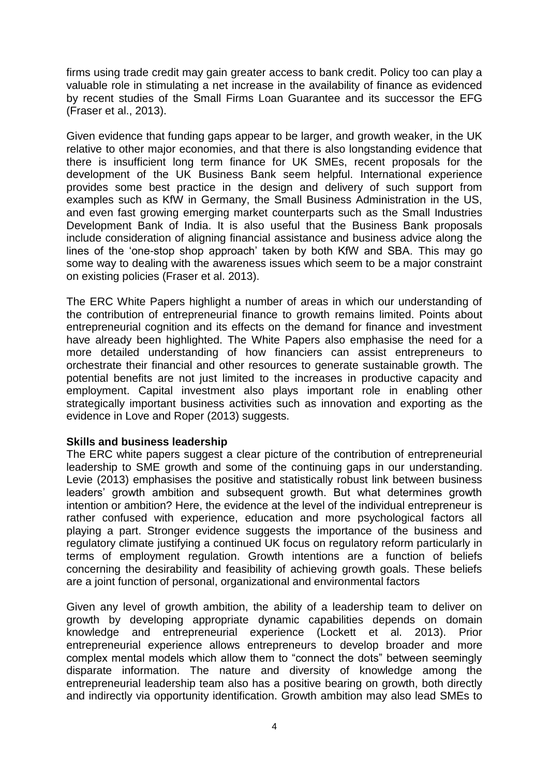firms using trade credit may gain greater access to bank credit. Policy too can play a valuable role in stimulating a net increase in the availability of finance as evidenced by recent studies of the Small Firms Loan Guarantee and its successor the EFG (Fraser et al., 2013).

Given evidence that funding gaps appear to be larger, and growth weaker, in the UK relative to other major economies, and that there is also longstanding evidence that there is insufficient long term finance for UK SMEs, recent proposals for the development of the UK Business Bank seem helpful. International experience provides some best practice in the design and delivery of such support from examples such as KfW in Germany, the Small Business Administration in the US, and even fast growing emerging market counterparts such as the Small Industries Development Bank of India. It is also useful that the Business Bank proposals include consideration of aligning financial assistance and business advice along the lines of the 'one-stop shop approach' taken by both KfW and SBA. This may go some way to dealing with the awareness issues which seem to be a major constraint on existing policies (Fraser et al. 2013).

The ERC White Papers highlight a number of areas in which our understanding of the contribution of entrepreneurial finance to growth remains limited. Points about entrepreneurial cognition and its effects on the demand for finance and investment have already been highlighted. The White Papers also emphasise the need for a more detailed understanding of how financiers can assist entrepreneurs to orchestrate their financial and other resources to generate sustainable growth. The potential benefits are not just limited to the increases in productive capacity and employment. Capital investment also plays important role in enabling other strategically important business activities such as innovation and exporting as the evidence in Love and Roper (2013) suggests.

# **Skills and business leadership**

The ERC white papers suggest a clear picture of the contribution of entrepreneurial leadership to SME growth and some of the continuing gaps in our understanding. Levie (2013) emphasises the positive and statistically robust link between business leaders' growth ambition and subsequent growth. But what determines growth intention or ambition? Here, the evidence at the level of the individual entrepreneur is rather confused with experience, education and more psychological factors all playing a part. Stronger evidence suggests the importance of the business and regulatory climate justifying a continued UK focus on regulatory reform particularly in terms of employment regulation. Growth intentions are a function of beliefs concerning the desirability and feasibility of achieving growth goals. These beliefs are a joint function of personal, organizational and environmental factors

Given any level of growth ambition, the ability of a leadership team to deliver on growth by developing appropriate dynamic capabilities depends on domain knowledge and entrepreneurial experience (Lockett et al. 2013). Prior entrepreneurial experience allows entrepreneurs to develop broader and more complex mental models which allow them to "connect the dots" between seemingly disparate information. The nature and diversity of knowledge among the entrepreneurial leadership team also has a positive bearing on growth, both directly and indirectly via opportunity identification. Growth ambition may also lead SMEs to